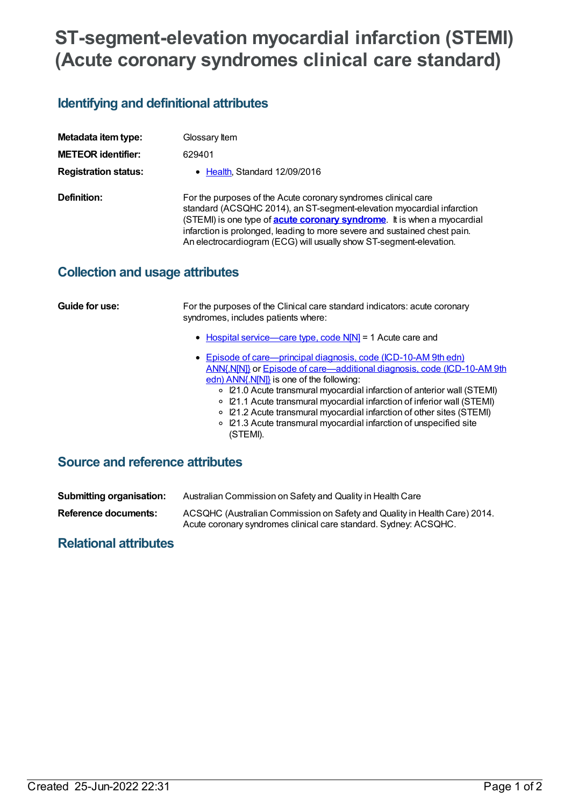# **ST-segment-elevation myocardial infarction (STEMI) (Acute coronary syndromes clinical care standard)**

## **Identifying and definitional attributes**

| Metadata item type:         | Glossary Item                                                                                                                                                                                                                                                                                                                                                                 |
|-----------------------------|-------------------------------------------------------------------------------------------------------------------------------------------------------------------------------------------------------------------------------------------------------------------------------------------------------------------------------------------------------------------------------|
| <b>METEOR identifier:</b>   | 629401                                                                                                                                                                                                                                                                                                                                                                        |
| <b>Registration status:</b> | • Health, Standard 12/09/2016                                                                                                                                                                                                                                                                                                                                                 |
| Definition:                 | For the purposes of the Acute coronary syndromes clinical care<br>standard (ACSQHC 2014), an ST-segment-elevation myocardial infarction<br>(STEMI) is one type of <b>acute coronary syndrome</b> . It is when a myocardial<br>infarction is prolonged, leading to more severe and sustained chest pain.<br>An electrocardiogram (ECG) will usually show ST-segment-elevation. |

## **Collection and usage attributes**

| Guide for use:                         | For the purposes of the Clinical care standard indicators: acute coronary<br>syndromes, includes patients where:                                                                                                                                                                                                                                                                                                                                                                                        |
|----------------------------------------|---------------------------------------------------------------------------------------------------------------------------------------------------------------------------------------------------------------------------------------------------------------------------------------------------------------------------------------------------------------------------------------------------------------------------------------------------------------------------------------------------------|
|                                        | • Hospital service—care type, code N[N] = 1 Acute care and                                                                                                                                                                                                                                                                                                                                                                                                                                              |
|                                        | • Episode of care—principal diagnosis, code (ICD-10-AM 9th edn)<br>ANN{.N[N]} or Episode of care—additional diagnosis, code (ICD-10-AM 9th<br>edn) ANN{.N[N]} is one of the following:<br>○ I21.0 Acute transmural myocardial infarction of anterior wall (STEMI)<br>○ I21.1 Acute transmural myocardial infarction of inferior wall (STEMI)<br>○ I21.2 Acute transmural myocardial infarction of other sites (STEMI)<br>○ I21.3 Acute transmural myocardial infarction of unspecified site<br>(STEMI). |
| <b>Source and reference attributes</b> |                                                                                                                                                                                                                                                                                                                                                                                                                                                                                                         |

| <b>Submitting organisation:</b> | Australian Commission on Safety and Quality in Health Care                                                                                    |
|---------------------------------|-----------------------------------------------------------------------------------------------------------------------------------------------|
| Reference documents:            | ACSQHC (Australian Commission on Safety and Quality in Health Care) 2014.<br>Acute coronary syndromes clinical care standard. Sydney: ACSQHC. |

#### **Relational attributes**